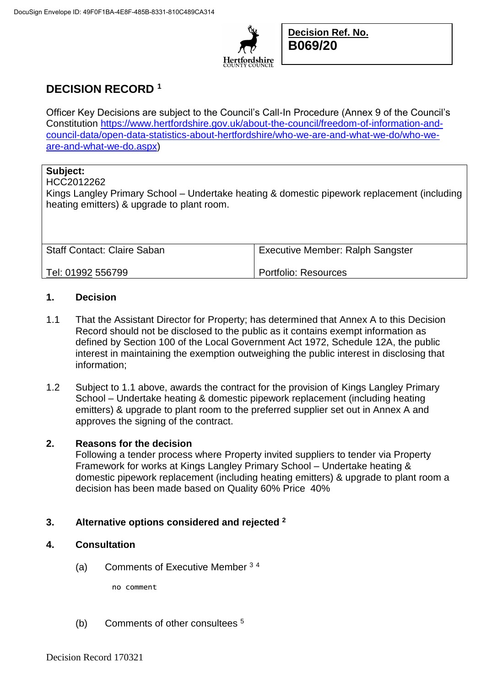

**Decision Ref. No. B069/20**

# **DECISION RECORD <sup>1</sup>**

Officer Key Decisions are subject to the Council's Call-In Procedure (Annex 9 of the Council's Constitution [https://www.hertfordshire.gov.uk/about-the-council/freedom-of-information-and](https://www.hertfordshire.gov.uk/about-the-council/freedom-of-information-and-council-data/open-data-statistics-about-hertfordshire/who-we-are-and-what-we-do/who-we-are-and-what-we-do.aspx)[council-data/open-data-statistics-about-hertfordshire/who-we-are-and-what-we-do/who-we](https://www.hertfordshire.gov.uk/about-the-council/freedom-of-information-and-council-data/open-data-statistics-about-hertfordshire/who-we-are-and-what-we-do/who-we-are-and-what-we-do.aspx)[are-and-what-we-do.aspx\)](https://www.hertfordshire.gov.uk/about-the-council/freedom-of-information-and-council-data/open-data-statistics-about-hertfordshire/who-we-are-and-what-we-do/who-we-are-and-what-we-do.aspx)

# **Subject:**

#### HCC2012262

Kings Langley Primary School – Undertake heating & domestic pipework replacement (including heating emitters) & upgrade to plant room.

| <b>Staff Contact: Claire Saban</b> | <b>Executive Member: Ralph Sangster</b> |
|------------------------------------|-----------------------------------------|
| Tel: 01992 556799                  | Portfolio: Resources                    |

## **1. Decision**

- 1.1 That the Assistant Director for Property; has determined that Annex A to this Decision Record should not be disclosed to the public as it contains exempt information as defined by Section 100 of the Local Government Act 1972, Schedule 12A, the public interest in maintaining the exemption outweighing the public interest in disclosing that information;
- 1.2 Subject to 1.1 above, awards the contract for the provision of Kings Langley Primary School – Undertake heating & domestic pipework replacement (including heating emitters) & upgrade to plant room to the preferred supplier set out in Annex A and approves the signing of the contract.

## **2. Reasons for the decision**

Following a tender process where Property invited suppliers to tender via Property Framework for works at Kings Langley Primary School – Undertake heating & domestic pipework replacement (including heating emitters) & upgrade to plant room a decision has been made based on Quality 60% Price 40%

# **3. Alternative options considered and rejected <sup>2</sup>**

## **4. Consultation**

(a) Comments of Executive Member <sup>3</sup> <sup>4</sup>

no comment

(b) Comments of other consultees <sup>5</sup>